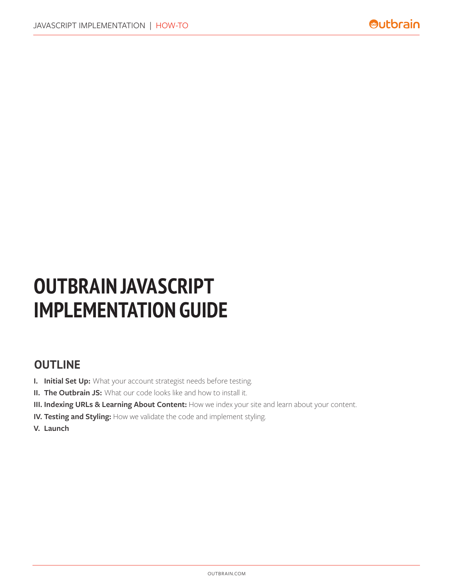# **OUTBRAIN JAVASCRIPT IMPLEMENTATION GUIDE**

## **OUTLINE**

- **I. Initial Set Up:** What your account strategist needs before testing.
- **II. The Outbrain JS:** What our code looks like and how to install it.
- **III. Indexing URLs & Learning About Content:** How we index your site and learn about your content.
- **IV. Testing and Styling:** How we validate the code and implement styling.
- **V. Launch**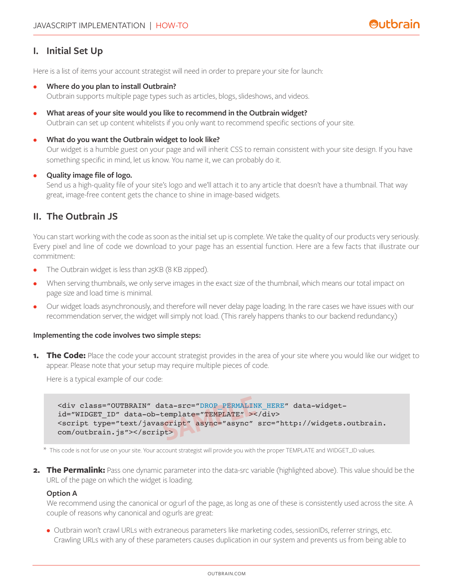## **I. Initial Set Up**

Here is a list of items your account strategist will need in order to prepare your site for launch:

• **Where do you plan to install Outbrain?** 

Outbrain supports multiple page types such as articles, blogs, slideshows, and videos.

- **What areas of your site would you like to recommend in the Outbrain widget?**  Outbrain can set up content whitelists if you only want to recommend specific sections of your site.
- **What do you want the Outbrain widget to look like?**

Our widget is a humble guest on your page and will inherit CSS to remain consistent with your site design. If you have something specific in mind, let us know. You name it, we can probably do it.

• **Quality image file of logo.** 

Send us a high-quality file of your site's logo and we'll attach it to any article that doesn't have a thumbnail. That way great, image-free content gets the chance to shine in image-based widgets.

## **II. The Outbrain JS**

You can start working with the code as soon as the initial set up is complete. We take the quality of our products very seriously. Every pixel and line of code we download to your page has an essential function. Here are a few facts that illustrate our commitment:

- The Outbrain widget is less than 25KB (8 KB zipped).
- When serving thumbnails, we only serve images in the exact size of the thumbnail, which means our total impact on page size and load time is minimal.
- Our widget loads asynchronously, and therefore will never delay page loading. In the rare cases we have issues with our recommendation server, the widget will simply not load. (This rarely happens thanks to our backend redundancy.)

#### **Implementing the code involves two simple steps:**

**1. The Code:** Place the code your account strategist provides in the area of your site where you would like our widget to appear. Please note that your setup may require multiple pieces of code.

Here is a typical example of our code:

<div class="OUTBRAIN" data-src="DROP\_PERMALINK\_HERE" data-widgetid="WIDGET\_ID" data-ob-template="TEMPLATE" ></div> <script type="text/javascript" async="async" src="[http://widgets.outbrain.](http://widgets.outbrain.com/outbrain.js) [com/outbrain.js"](http://widgets.outbrain.com/outbrain.js)></script> ata-src="DROP\_PERMALIN<br>cemplate="TEMPLATE"><<br>script" async="async"<br>pt>

\* This code is not for use on your site. Your account strategist will provide you with the proper TEMPLATE and WIDGET\_ID values.

**2. The Permalink:** Pass one dynamic parameter into the data-src variable (highlighted above). This value should be the URL of the page on which the widget is loading.

#### **Option A**

We recommend using the canonical or og:url of the page, as long as one of these is consistently used across the site. A couple of reasons why canonical and og:urls are great:

• Outbrain won't crawl URLs with extraneous parameters like marketing codes, sessionIDs, referrer strings, etc. Crawling URLs with any of these parameters causes duplication in our system and prevents us from being able to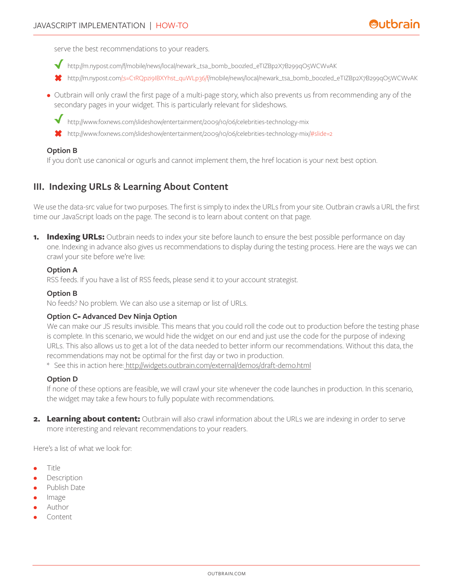serve the best recommendations to your readers.

- [http://m.nypost.com/f/mobile/news/local/newark\\_tsa\\_bomb\\_boozled\\_eTIZBp2X7B299qO5WCWvAK](http://m.nypost.com/f/mobile/news/local/newark_tsa_bomb_boozled_eTIZBp2X7B299qO5WCWvAK)
- <http://m.nypost.com>/;s=C1RQpzi9IBXYhst\_quWLp36/f/mobile/news/local/newark\_tsa\_bomb\_boozled\_eTIZBp2X7B299qO5WCWvAK
- Outbrain will only crawl the first page of a multi-page story, which also prevents us from recommending any of the secondary pages in your widget. This is particularly relevant for slideshows.
	- [http://www.foxnews.com/slideshow/entertainment/2009/10/06/celebrities-](http://www.foxnews.com/slideshow/entertainment/2009/10/06/celebrities)technology-mix
	- [http://www.foxnews.com/slideshow/entertainment/2009/10/06/celebrities-](http://www.foxnews.com/slideshow/entertainment/2009/10/06/celebrities)technology-mix/#slide=2

#### **Option B**

If you don't use canonical or og:urls and cannot implement them, the href location is your next best option.

## **III. Indexing URLs & Learning About Content**

We use the data-src value for two purposes. The first is simply to index the URLs from your site. Outbrain crawls a URL the first time our JavaScript loads on the page. The second is to learn about content on that page.

**1. Indexing URLs:** Outbrain needs to index your site before launch to ensure the best possible performance on day one. Indexing in advance also gives us recommendations to display during the testing process. Here are the ways we can crawl your site before we're live:

#### **Option A**

RSS feeds. If you have a list of RSS feeds, please send it to your account strategist.

#### **Option B**

No feeds? No problem. We can also use a sitemap or list of URLs.

#### **Option C**- **Advanced Dev Ninja Option**

We can make our JS results invisible. This means that you could roll the code out to production before the testing phase is complete. In this scenario, we would hide the widget on our end and just use the code for the purpose of indexing URLs. This also allows us to get a lot of the data needed to better inform our recommendations. Without this data, the recommendations may not be optimal for the first day or two in production.

\* See this in action here: [http://widgets.outbrain.com/external/demos/draft-demo.html](http://widgets.outbrain.com/external/demos/draft-demo.html%20)

#### **Option D**

If none of these options are feasible, we will crawl your site whenever the code launches in production. In this scenario, the widget may take a few hours to fully populate with recommendations.

**2. Learning about content:** Outbrain will also crawl information about the URLs we are indexing in order to serve more interesting and relevant recommendations to your readers.

Here's a list of what we look for:

- Title
- **Description**
- Publish Date
- Image
- Author
- Content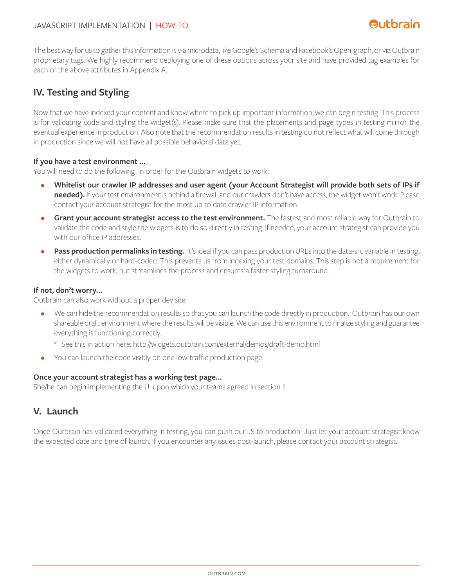The best way for us to gather this information is via microdata, like Google's Schema and Facebook's Open-graph, or via Outbrain proprietary tags. We highly recommend deploying one of these options across your site and have provided tag examples for each of the above attributes in Appendix A.

## **IV. Testing and Styling**

Now that we have indexed your content and know where to pick up important information, we can begin testing. This process is for validating code and styling the widget(s). Please make sure that the placements and page types in testing mirror the eventual experience in production. Also note that the recommendation results in testing do not reflect what will come through in production since we will not have all possible behavioral data yet.

#### **If you have a test environment ...**

You will need to do the following in order for the Outbrain widgets to work:

- **Whitelist our crawler IP addresses and user agent (your Account Strategist will provide both sets of IPs if needed).** If your test environment is behind a firewall and our crawlers don't have access, the widget won't work. Please contact your account strategist for the most up to date crawler IP information.
- **Grant your account strategist access to the test environment.** The fastest and most reliable way for Outbrain to validate the code and style the widgets is to do so directly in testing. If needed, your account strategist can provide you with our office IP addresses.
- **Pass production permalinks in testing.** It's ideal if you can pass production URLs into the data-src variable in testing, either dynamically or hard-coded. This prevents us from indexing your test domains. This step is not a requirement for the widgets to work, but streamlines the process and ensures a faster styling turnaround.

#### **If not, don't worry...**

Outbrain can also work without a proper dev site:

- We can hide the recommendation results so that you can launch the code directly in production. Outbrain has our own shareable draft environment where the results will be visible. We can use this environment to finalize styling and guarantee everything is functioning correctly.
	- \* See this in action here: <http://widgets.outbrain.com/external/demos/draft-demo.html>
- You can launch the code visibly on one low-traffic production page.

#### **Once your account strategist has a working test page…**

She/he can begin implementing the UI upon which your teams agreed in section I!

## **V. Launch**

Once Outbrain has validated everything in testing, you can push our JS to production! Just let your account strategist know the expected date and time of launch. If you encounter any issues post-launch, please contact your account strategist.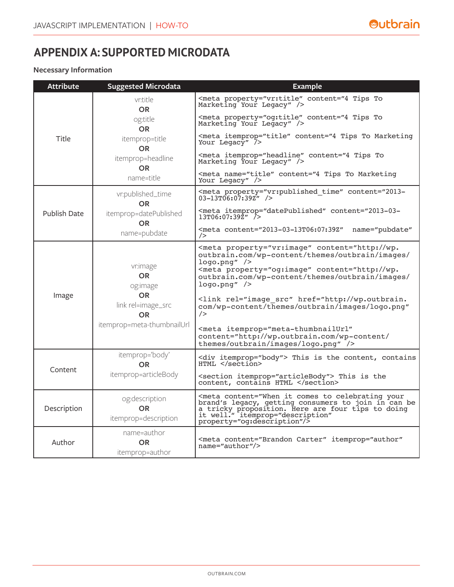# **APPENDIX A: SUPPORTED MICRODATA**

### **Necessary Information**

| <b>Attribute</b>     | <b>Suggested Microdata</b>                          | <b>Example</b>                                                                                                                                                                                                                                                                                 |                                                                                                                                                                                                                                                                                                                                                                                                                                                 |
|----------------------|-----------------------------------------------------|------------------------------------------------------------------------------------------------------------------------------------------------------------------------------------------------------------------------------------------------------------------------------------------------|-------------------------------------------------------------------------------------------------------------------------------------------------------------------------------------------------------------------------------------------------------------------------------------------------------------------------------------------------------------------------------------------------------------------------------------------------|
| Title                | vr:title<br>OR.                                     | <meta content="4 Tips To&lt;br&gt;Marketing Your Legacy" property="vr:title"/>                                                                                                                                                                                                                 |                                                                                                                                                                                                                                                                                                                                                                                                                                                 |
|                      | og:title<br><b>OR</b>                               | <meta content="4 Tips To&lt;br&gt;Marketing Your Legacy" property="og:title"/>                                                                                                                                                                                                                 |                                                                                                                                                                                                                                                                                                                                                                                                                                                 |
|                      | itemprop=title<br><b>OR</b>                         | <meta <math="" content="4 Tips To Marketing&lt;br&gt;Your Legacy" itemprop="title"/> 7                                                                                                                                                                                                         |                                                                                                                                                                                                                                                                                                                                                                                                                                                 |
|                      | itemprop=headline                                   | <meta content="4 Tips To&lt;br&gt;Marketing Your Legacy" itemprop="headline"/>                                                                                                                                                                                                                 |                                                                                                                                                                                                                                                                                                                                                                                                                                                 |
|                      | <b>OR</b><br>name=title                             | <meta content="4 Tips To Marketing&lt;br&gt;Your Legacy" name="title"/>                                                                                                                                                                                                                        |                                                                                                                                                                                                                                                                                                                                                                                                                                                 |
| <b>Publish Date</b>  | vr:published_time<br><b>OR</b>                      | <meta 2013-03-13t06:07:39z"<br="" content="2013-03-&lt;br&gt;&lt;math&gt;13T06:07:39\bar{Z}''&lt;/math&gt; /&gt;&lt;/td&gt;&lt;/tr&gt;&lt;tr&gt;&lt;td&gt;name=pubdate&lt;/td&gt;&lt;td&gt;&lt;meta content=" datepublished"="" property="vr:published time"/> name="pubdate"<br>$\rightarrow$ |                                                                                                                                                                                                                                                                                                                                                                                                                                                 |
|                      | Image                                               | vr:image<br>OR.<br>og:image<br>OR.<br>link rel=image_src<br><b>OR</b><br>itemprop=meta-thumbnailUrl                                                                                                                                                                                            | <meta <br="" content="http://wp.&lt;br&gt;outbrain.com/wp-content/themes/outbrain/images/&lt;br&gt;&lt;math&gt;logo.pnq''&lt;/math&gt; /&gt;&lt;br&gt;&lt;link rel=" href="http://wp.outbrain.&lt;br&gt;com/wp-content/themes/outbrain/images/logo.png" image="" og:image"="" property="vr:image" src"=""/> /<br><meta <br="" itemprop="meta-thumbnailUrl"/> content="http://wp.outbrain.com/wp-content/<br>themes/outbrain/images/logo.png" /> |
|                      | Content                                             | itemprop='body'<br><b>OR</b>                                                                                                                                                                                                                                                                   | <div itemprop="body"> This is the content, contains<br/>HTML </div>                                                                                                                                                                                                                                                                                                                                                                             |
| itemprop=articleBody |                                                     | <section itemprop="articleBody"> This is the<br/>content, contains HTML </section>                                                                                                                                                                                                             |                                                                                                                                                                                                                                                                                                                                                                                                                                                 |
| Description          | og:description<br><b>OR</b><br>itemprop=description | <meta <br="" content="When it comes to celebrating your&lt;br&gt;brand's legacy, getting consumers to join in can be&lt;br&gt;a tricky proposition. Here are four tips to doing&lt;br&gt;it well." itemprop="description"/> property="og:description"/>                                        |                                                                                                                                                                                                                                                                                                                                                                                                                                                 |
| Author               | name=author<br><b>OR</b><br>itemprop=author         | <meta <br="" content="Brandon Carter" itemprop="author"/> name="author"/>                                                                                                                                                                                                                      |                                                                                                                                                                                                                                                                                                                                                                                                                                                 |